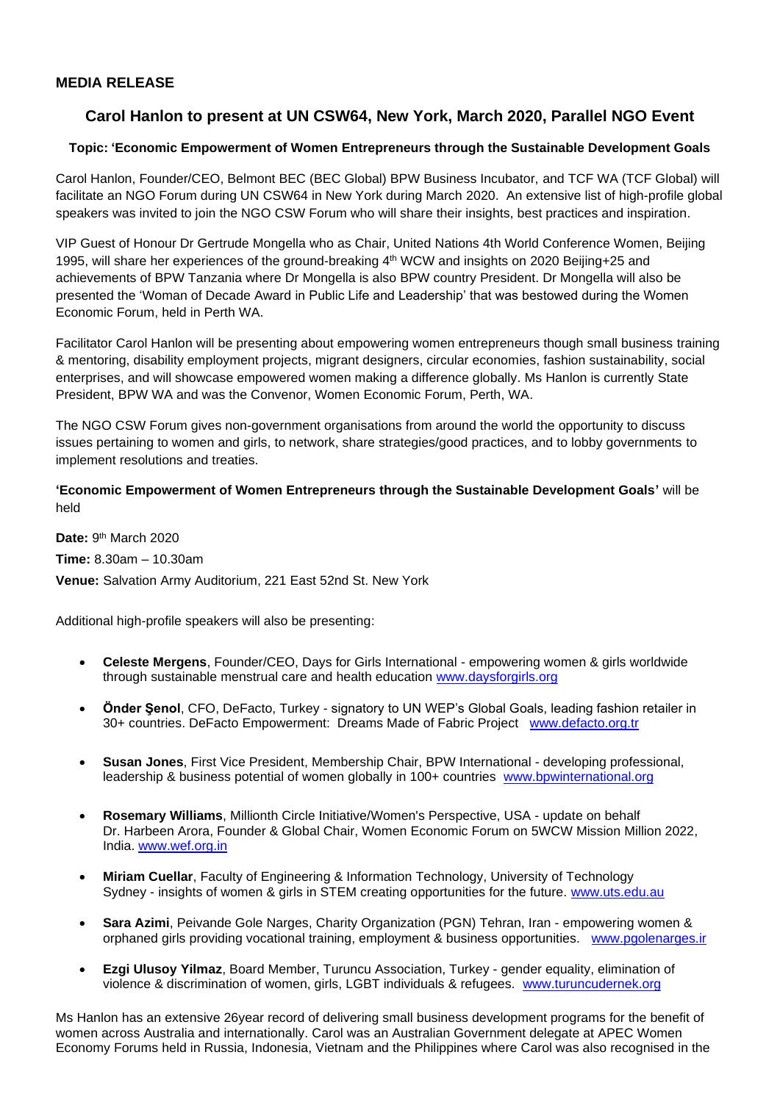## **MEDIA RELEASE**

# **Carol Hanlon to present at UN CSW64, New York, March 2020, Parallel NGO Event**

## **Topic: 'Economic Empowerment of Women Entrepreneurs through the Sustainable Development Goals**

Carol Hanlon, Founder/CEO, Belmont BEC (BEC Global) BPW Business Incubator, and TCF WA (TCF Global) will facilitate an NGO Forum during UN CSW64 in New York during March 2020. An extensive list of high-profile global speakers was invited to join the NGO CSW Forum who will share their insights, best practices and inspiration.

VIP Guest of Honour Dr Gertrude Mongella who as Chair, United Nations 4th World Conference Women, Beijing 1995, will share her experiences of the ground-breaking 4<sup>th</sup> WCW and insights on 2020 Beijing+25 and achievements of BPW Tanzania where Dr Mongella is also BPW country President. Dr Mongella will also be presented the 'Woman of Decade Award in Public Life and Leadership' that was bestowed during the Women Economic Forum, held in Perth WA.

Facilitator Carol Hanlon will be presenting about empowering women entrepreneurs though small business training & mentoring, disability employment projects, migrant designers, circular economies, fashion sustainability, social enterprises, and will showcase empowered women making a difference globally. Ms Hanlon is currently State President, BPW WA and was the Convenor, Women Economic Forum, Perth, WA.

The NGO CSW Forum gives non-government organisations from around the world the opportunity to discuss issues pertaining to women and girls, to network, share strategies/good practices, and to lobby governments to implement resolutions and treaties.

**'Economic Empowerment of Women Entrepreneurs through the Sustainable Development Goals'** will be held

**Date:** 9<sup>th</sup> March 2020 **Time:** 8.30am – 10.30am **Venue:** Salvation Army Auditorium, 221 East 52nd St. New York

Additional high-profile speakers will also be presenting:

- **Celeste Mergens**, Founder/CEO, Days for Girls International empowering women & girls worldwide through sustainable menstrual care and health education [www.daysforgirls.org](http://www.daysforgirls.org/)
- **Önder Şenol**, CFO, DeFacto, Turkey signatory to UN WEP's Global Goals, leading fashion retailer in 30+ countries. DeFacto Empowerment: Dreams Made of Fabric Project [www.defacto.org.tr](http://www.defacto.org.tr/)
- **Susan Jones**, First Vice President, Membership Chair, BPW International developing professional, leadership & business potential of women globally in 100+ countries [www.bpwinternational.org](http://www.bpwinternational.org/)
- **Rosemary Williams**, Millionth Circle Initiative/Women's Perspective, USA update on behalf Dr. Harbeen Arora, Founder & Global Chair, Women Economic Forum on 5WCW Mission Million 2022, India. [www.wef.org.in](http://www.wef.org.in/)
- **Miriam Cuellar**, Faculty of Engineering & Information Technology, University of Technology Sydney - insights of women & girls in STEM creating opportunities for the future. [www.uts.edu.au](http://www.uts.edu.au/)
- **Sara Azimi**, Peivande Gole Narges, Charity Organization (PGN) Tehran, Iran empowering women & orphaned girls providing vocational training, employment & business opportunities. [www.pgolenarges.ir](http://www.pgolenarges.ir/)
- **Ezgi Ulusoy Yilmaz**, Board Member, Turuncu Association, Turkey gender equality, elimination of violence & discrimination of women, girls, LGBT individuals & refugees. [www.turuncudernek.org](http://www.turuncudernek.org/)

Ms Hanlon has an extensive 26year record of delivering small business development programs for the benefit of women across Australia and internationally. Carol was an Australian Government delegate at APEC Women Economy Forums held in Russia, Indonesia, Vietnam and the Philippines where Carol was also recognised in the